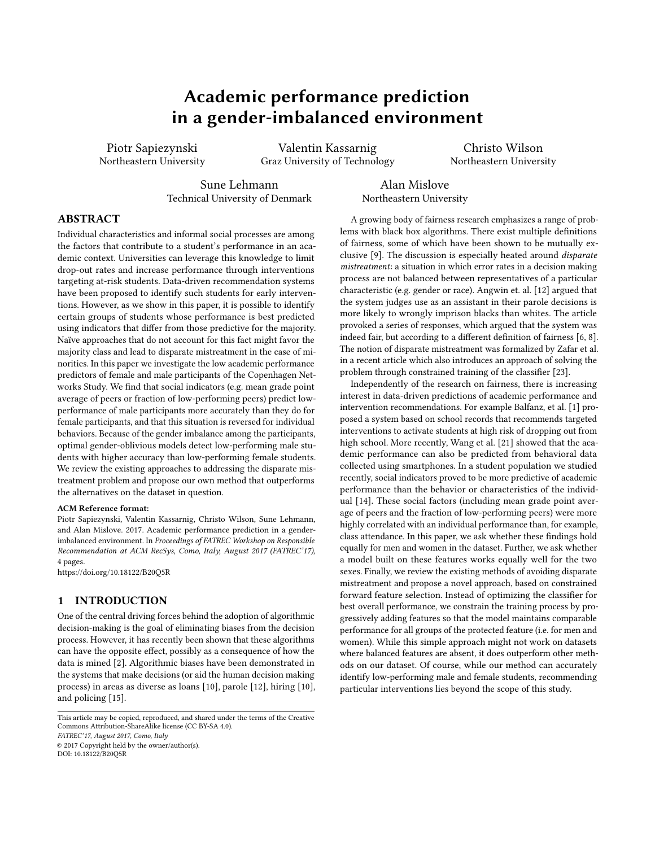# Academic performance prediction in a gender-imbalanced environment

Piotr Sapiezynski Northeastern University

Valentin Kassarnig Graz University of Technology

Christo Wilson Northeastern University

Sune Lehmann Technical University of Denmark

Alan Mislove Northeastern University

# ABSTRACT

Individual characteristics and informal social processes are among the factors that contribute to a student's performance in an academic context. Universities can leverage this knowledge to limit drop-out rates and increase performance through interventions targeting at-risk students. Data-driven recommendation systems have been proposed to identify such students for early interventions. However, as we show in this paper, it is possible to identify certain groups of students whose performance is best predicted using indicators that differ from those predictive for the majority. Naïve approaches that do not account for this fact might favor the majority class and lead to disparate mistreatment in the case of minorities. In this paper we investigate the low academic performance predictors of female and male participants of the Copenhagen Networks Study. We find that social indicators (e.g. mean grade point average of peers or fraction of low-performing peers) predict lowperformance of male participants more accurately than they do for female participants, and that this situation is reversed for individual behaviors. Because of the gender imbalance among the participants, optimal gender-oblivious models detect low-performing male students with higher accuracy than low-performing female students. We review the existing approaches to addressing the disparate mistreatment problem and propose our own method that outperforms the alternatives on the dataset in question.

#### ACM Reference format:

Piotr Sapiezynski, Valentin Kassarnig, Christo Wilson, Sune Lehmann, and Alan Mislove. 2017. Academic performance prediction in a genderimbalanced environment. In Proceedings of FATREC Workshop on Responsible Recommendation at ACM RecSys, Como, Italy, August 2017 (FATREC'17), [4](#page-3-0) pages.

<https://doi.org/10.18122/B20Q5R>

## 1 INTRODUCTION

One of the central driving forces behind the adoption of algorithmic decision-making is the goal of eliminating biases from the decision process. However, it has recently been shown that these algorithms can have the opposite effect, possibly as a consequence of how the data is mined [\[2\]](#page-3-1). Algorithmic biases have been demonstrated in the systems that make decisions (or aid the human decision making process) in areas as diverse as loans [\[10\]](#page-3-2), parole [\[12\]](#page-3-3), hiring [\[10\]](#page-3-2), and policing [\[15\]](#page-3-4).

FATREC'17, August 2017, Como, Italy

© 2017 Copyright held by the owner/author(s). DOI: 10.18122/B20Q5R

A growing body of fairness research emphasizes a range of problems with black box algorithms. There exist multiple definitions of fairness, some of which have been shown to be mutually exclusive [\[9\]](#page-3-5). The discussion is especially heated around disparate mistreatment: a situation in which error rates in a decision making process are not balanced between representatives of a particular characteristic (e.g. gender or race). Angwin et. al. [\[12\]](#page-3-3) argued that the system judges use as an assistant in their parole decisions is more likely to wrongly imprison blacks than whites. The article provoked a series of responses, which argued that the system was indeed fair, but according to a different definition of fairness [\[6,](#page-3-6) [8\]](#page-3-7). The notion of disparate mistreatment was formalized by Zafar et al. in a recent article which also introduces an approach of solving the problem through constrained training of the classifier [\[23\]](#page-3-8).

Independently of the research on fairness, there is increasing interest in data-driven predictions of academic performance and intervention recommendations. For example Balfanz, et al. [\[1\]](#page-3-9) proposed a system based on school records that recommends targeted interventions to activate students at high risk of dropping out from high school. More recently, Wang et al. [\[21\]](#page-3-10) showed that the academic performance can also be predicted from behavioral data collected using smartphones. In a student population we studied recently, social indicators proved to be more predictive of academic performance than the behavior or characteristics of the individual [\[14\]](#page-3-11). These social factors (including mean grade point average of peers and the fraction of low-performing peers) were more highly correlated with an individual performance than, for example, class attendance. In this paper, we ask whether these findings hold equally for men and women in the dataset. Further, we ask whether a model built on these features works equally well for the two sexes. Finally, we review the existing methods of avoiding disparate mistreatment and propose a novel approach, based on constrained forward feature selection. Instead of optimizing the classifier for best overall performance, we constrain the training process by progressively adding features so that the model maintains comparable performance for all groups of the protected feature (i.e. for men and women). While this simple approach might not work on datasets where balanced features are absent, it does outperform other methods on our dataset. Of course, while our method can accurately identify low-performing male and female students, recommending particular interventions lies beyond the scope of this study.

This article may be copied, reproduced, and shared under the terms of the Creative Commons Attribution-ShareAlike license (CC BY-SA 4.0).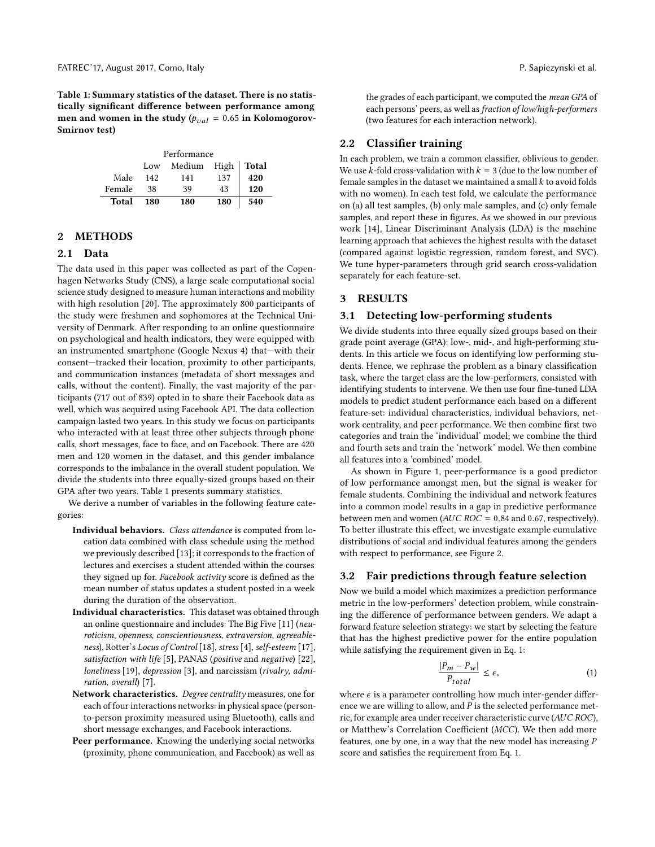<span id="page-1-0"></span>Table 1: Summary statistics of the dataset. There is no statistically significant difference between performance among men and women in the study ( $p_{val} = 0.65$  in Kolomogorov-Smirnov test)

| Performance |     |                     |     |     |
|-------------|-----|---------------------|-----|-----|
|             | Low | Medium High   Total |     |     |
| Male        | 142 | 141                 | 137 | 420 |
| Female      | 38  | 39                  | 43  | 120 |
| Total       | 180 | 180                 | 180 | 540 |

## 2 METHODS

#### 2.1 Data

The data used in this paper was collected as part of the Copenhagen Networks Study (CNS), a large scale computational social science study designed to measure human interactions and mobility with high resolution [\[20\]](#page-3-12). The approximately 800 participants of the study were freshmen and sophomores at the Technical University of Denmark. After responding to an online questionnaire on psychological and health indicators, they were equipped with an instrumented smartphone (Google Nexus 4) that—with their consent—tracked their location, proximity to other participants, and communication instances (metadata of short messages and calls, without the content). Finally, the vast majority of the participants (717 out of 839) opted in to share their Facebook data as well, which was acquired using Facebook API. The data collection campaign lasted two years. In this study we focus on participants who interacted with at least three other subjects through phone calls, short messages, face to face, and on Facebook. There are 420 men and 120 women in the dataset, and this gender imbalance corresponds to the imbalance in the overall student population. We divide the students into three equally-sized groups based on their GPA after two years. Table [1](#page-1-0) presents summary statistics.

We derive a number of variables in the following feature categories:

- Individual behaviors. Class attendance is computed from location data combined with class schedule using the method we previously described [\[13\]](#page-3-13); it corresponds to the fraction of lectures and exercises a student attended within the courses they signed up for. Facebook activity score is defined as the mean number of status updates a student posted in a week during the duration of the observation.
- Individual characteristics. This dataset was obtained through an online questionnaire and includes: The Big Five [\[11\]](#page-3-14) (neuroticism, openness, conscientiousness, extraversion, agreeableness), Rotter's Locus of Control [\[18\]](#page-3-15), stress [\[4\]](#page-3-16), self-esteem [\[17\]](#page-3-17), satisfaction with life [\[5\]](#page-3-18), PANAS (positive and negative) [\[22\]](#page-3-19), loneliness [\[19\]](#page-3-20), depression [\[3\]](#page-3-21), and narcissism (rivalry, admiration, overall) [\[7\]](#page-3-22).
- Network characteristics. Degree centrality measures, one for each of four interactions networks: in physical space (personto-person proximity measured using Bluetooth), calls and short message exchanges, and Facebook interactions.
- Peer performance. Knowing the underlying social networks (proximity, phone communication, and Facebook) as well as

the grades of each participant, we computed the mean GPA of each persons' peers, as well as fraction of low/high-performers (two features for each interaction network).

#### 2.2 Classifier training

In each problem, we train a common classifier, oblivious to gender. We use k-fold cross-validation with  $k = 3$  (due to the low number of female samples in the dataset we maintained a small  $k$  to avoid folds with no women). In each test fold, we calculate the performance on (a) all test samples, (b) only male samples, and (c) only female samples, and report these in figures. As we showed in our previous work [\[14\]](#page-3-11), Linear Discriminant Analysis (LDA) is the machine learning approach that achieves the highest results with the dataset (compared against logistic regression, random forest, and SVC). We tune hyper-parameters through grid search cross-validation separately for each feature-set.

## 3 RESULTS

#### 3.1 Detecting low-performing students

We divide students into three equally sized groups based on their grade point average (GPA): low-, mid-, and high-performing students. In this article we focus on identifying low performing students. Hence, we rephrase the problem as a binary classification task, where the target class are the low-performers, consisted with identifying students to intervene. We then use four fine-tuned LDA models to predict student performance each based on a different feature-set: individual characteristics, individual behaviors, network centrality, and peer performance. We then combine first two categories and train the 'individual' model; we combine the third and fourth sets and train the 'network' model. We then combine all features into a 'combined' model.

As shown in Figure [1,](#page-2-0) peer-performance is a good predictor of low performance amongst men, but the signal is weaker for female students. Combining the individual and network features into a common model results in a gap in predictive performance between men and women ( $AUC$   $ROC = 0.84$  and 0.67, respectively). To better illustrate this effect, we investigate example cumulative distributions of social and individual features among the genders with respect to performance, see Figure [2.](#page-2-1)

## 3.2 Fair predictions through feature selection

Now we build a model which maximizes a prediction performance metric in the low-performers' detection problem, while constraining the difference of performance between genders. We adapt a forward feature selection strategy: we start by selecting the feature that has the highest predictive power for the entire population while satisfying the requirement given in Eq. [1:](#page-1-1)

<span id="page-1-1"></span>
$$
\frac{|P_m - P_w|}{P_{total}} \le \epsilon,
$$
\n(1)

where  $\epsilon$  is a parameter controlling how much inter-gender differ-<br>ence we are willing to allow, and  $P$  is the selected performance metence we are willing to allow, and P is the selected performance metric, for example area under receiver characteristic curve (AUC ROC), or Matthew's Correlation Coefficient (MCC). We then add more features, one by one, in a way that the new model has increasing P score and satisfies the requirement from Eq. [1.](#page-1-1)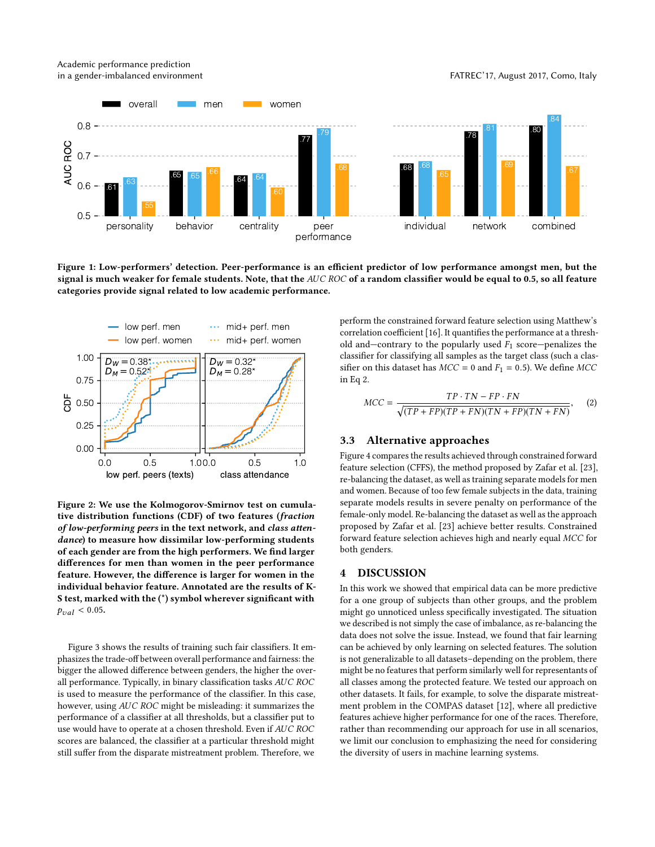Academic performance prediction in a gender-imbalanced environment FATREC'17, August 2017, Como, Italy

<span id="page-2-0"></span>

Figure 1: Low-performers' detection. Peer-performance is an efficient predictor of low performance amongst men, but the signal is much weaker for female students. Note, that the  $AUC$  ROC of a random classifier would be equal to 0.5, so all feature categories provide signal related to low academic performance.

<span id="page-2-1"></span>

Figure 2: We use the Kolmogorov-Smirnov test on cumulative distribution functions (CDF) of two features (fraction of low-performing peers in the text network, and class attendance) to measure how dissimilar low-performing students of each gender are from the high performers. We find larger differences for men than women in the peer performance feature. However, the difference is larger for women in the individual behavior feature. Annotated are the results of K-S test, marked with the (\*) symbol wherever significant with  $p_{val} < 0.05$ .

Figure [3](#page-3-23) shows the results of training such fair classifiers. It emphasizes the trade-off between overall performance and fairness: the bigger the allowed difference between genders, the higher the overall performance. Typically, in binary classification tasks AUC ROC is used to measure the performance of the classifier. In this case, however, using AUC ROC might be misleading: it summarizes the performance of a classifier at all thresholds, but a classifier put to use would have to operate at a chosen threshold. Even if AUC ROC scores are balanced, the classifier at a particular threshold might still suffer from the disparate mistreatment problem. Therefore, we

perform the constrained forward feature selection using Matthew's correlation coefficient [\[16\]](#page-3-24). It quantifies the performance at a threshold and—contrary to the popularly used  $F_1$  score—penalizes the classifier for classifying all samples as the target class (such a classifier on this dataset has  $MCC = 0$  and  $F_1 = 0.5$ ). We define MCC in Eq [2.](#page-2-2)

<span id="page-2-2"></span>
$$
MCC = \frac{TP \cdot TN - FP \cdot FN}{\sqrt{(TP + FP)(TP + FN)(TN + FP)(TN + FN)}},
$$
 (2)

## 3.3 Alternative approaches

Figure [4](#page-3-25) compares the results achieved through constrained forward feature selection (CFFS), the method proposed by Zafar et al. [\[23\]](#page-3-8), re-balancing the dataset, as well as training separate models for men and women. Because of too few female subjects in the data, training separate models results in severe penalty on performance of the female-only model. Re-balancing the dataset as well as the approach proposed by Zafar et al. [\[23\]](#page-3-8) achieve better results. Constrained forward feature selection achieves high and nearly equal MCC for both genders.

#### 4 DISCUSSION

In this work we showed that empirical data can be more predictive for a one group of subjects than other groups, and the problem might go unnoticed unless specifically investigated. The situation we described is not simply the case of imbalance, as re-balancing the data does not solve the issue. Instead, we found that fair learning can be achieved by only learning on selected features. The solution is not generalizable to all datasets–depending on the problem, there might be no features that perform similarly well for representants of all classes among the protected feature. We tested our approach on other datasets. It fails, for example, to solve the disparate mistreatment problem in the COMPAS dataset [\[12\]](#page-3-3), where all predictive features achieve higher performance for one of the races. Therefore, rather than recommending our approach for use in all scenarios, we limit our conclusion to emphasizing the need for considering the diversity of users in machine learning systems.